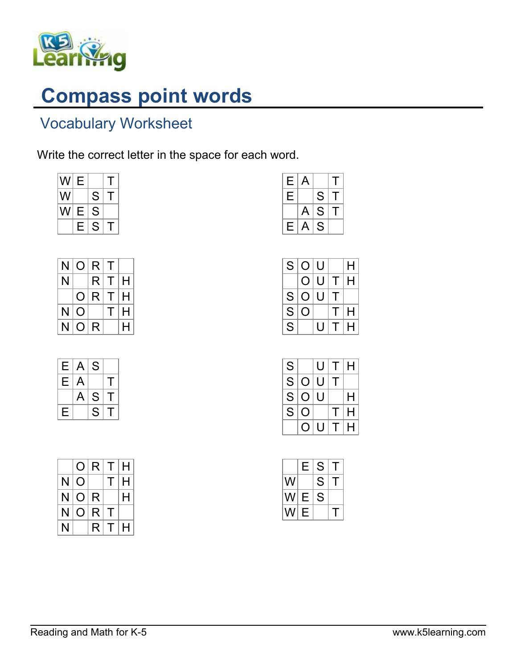

## Compass point words

## Vocabulary Worksheet

Write the correct letter in the space for each word.

| W | Е |   | I. |
|---|---|---|----|
| W |   | S |    |
| W | Е | S |    |
|   | Е | S |    |

| N | $\Omega$ | R. | Τ      |   |
|---|----------|----|--------|---|
| N |          | R  | $\top$ | н |
|   | O        | R  | Τ      | н |
| N | O        |    | л.     | H |
| N | O        | R  |        | H |

| E | A | S |   |
|---|---|---|---|
| Е | A |   | т |
|   | A | S | Т |
| Е |   | S | T |

|   | O. | IR. | т            | н |
|---|----|-----|--------------|---|
| N | O  |     | $\mathbf{I}$ | H |
| N | O  | R   |              | H |
| N | O  | R   | т            |   |
| N |    | R   | т            | н |

| Е | A |   | T. |
|---|---|---|----|
| Е |   | S | Τ  |
|   | A | S | T  |
| Е | A | S |    |

| S | O   | U |              | Н |
|---|-----|---|--------------|---|
|   | O   | U | т            | н |
| S | O   | U | $\mathbf{L}$ |   |
| S | ( ) |   | Т            | H |
| S |     | U | Τ            | H |

| S |   | U | Τ            | Η |
|---|---|---|--------------|---|
| S | O | U | $\mathbf{I}$ |   |
| S | O | U |              | Н |
| S | O |   | T            | H |
|   |   | U | л.           | H |

|   | E | S | I. |
|---|---|---|----|
| W |   | S | I. |
| W | Е | S |    |
| W | Е |   | T. |